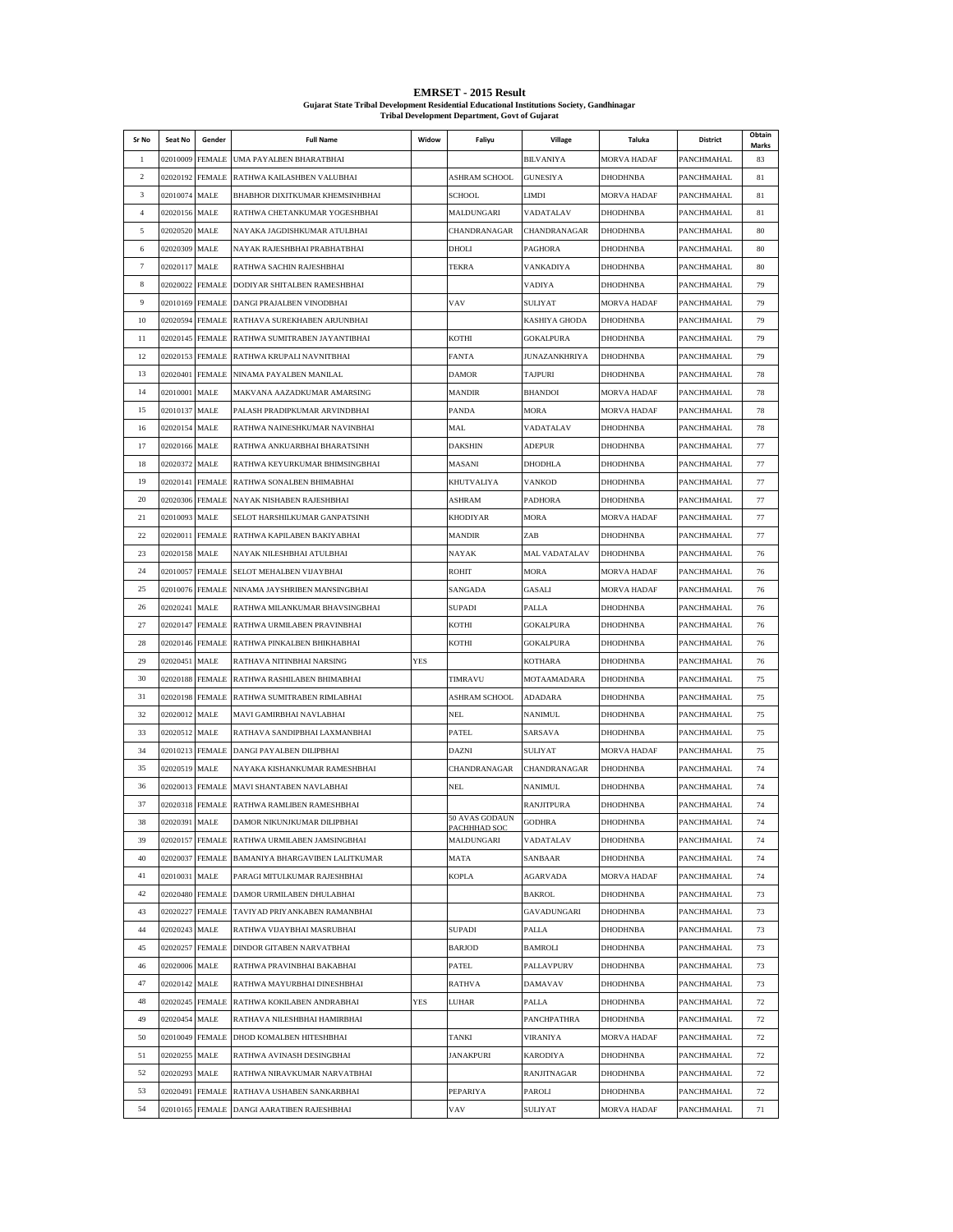| <b>EMRSET - 2015 Result</b>                                                                |
|--------------------------------------------------------------------------------------------|
| Guiarat State Tribal Development Residential Educational Institutions Society, Gandhinagar |
| <b>Tribal Development Department, Govt of Guiarat</b>                                      |

| Sr No          | Seat No         | Gender          | <b>Full Name</b>                            | Widow      | Faliyu                            | Village           | Taluka             | District          | Obtain      |
|----------------|-----------------|-----------------|---------------------------------------------|------------|-----------------------------------|-------------------|--------------------|-------------------|-------------|
| $\mathbf{1}$   | 02010009 FEMALE |                 | UMA PAYALBEN BHARATBHAI                     |            |                                   | <b>BILVANIYA</b>  | MORVA HADAF        | PANCHMAHAL        | Marks<br>83 |
| $\overline{c}$ | 02020192 FEMALE |                 | RATHWA KAILASHBEN VALUBHAI                  |            | ASHRAM SCHOOL                     | <b>GUNESIYA</b>   | DHODHNBA           | PANCHMAHAL        | 81          |
| 3              | 02010074 MALE   |                 | BHABHOR DIXITKUMAR KHEMSINHBHAI             |            | <b>SCHOOL</b>                     | LIMDI             | MORVA HADAF        | PANCHMAHAL        | 81          |
| $\overline{4}$ | 02020156 MALE   |                 | RATHWA CHETANKUMAR YOGESHBHAI               |            | MALDUNGARI                        | VADATALAV         | DHODHNBA           | PANCHMAHAL        | 81          |
| 5              | 02020520 MALE   |                 | NAYAKA JAGDISHKUMAR ATULBHAI                |            | CHANDRANAGAR                      | CHANDRANAGAR      | DHODHNBA           | PANCHMAHAL        | 80          |
| 6              | 02020309 MALE   |                 | NAYAK RAJESHBHAI PRABHATBHAI                |            | DHOLI                             | PAGHORA           | DHODHNBA           | PANCHMAHAL        | 80          |
| $\tau$         | 02020117 MALE   |                 | RATHWA SACHIN RAJESHBHAI                    |            | TEKRA                             | VANKADIYA         | DHODHNBA           | PANCHMAHAL        | 80          |
| 8              | 02020022 FEMALE |                 | DODIYAR SHITALBEN RAMESHBHAI                |            |                                   | VADIYA            | <b>DHODHNBA</b>    | PANCHMAHAL        | 79          |
| 9              | 02010169 FEMALE |                 | DANGI PRAJALBEN VINODBHAI                   |            | VAV                               | SULIYAT           | MORVA HADAF        | PANCHMAHAL        | 79          |
| 10             |                 | 02020594 FEMALE | RATHAVA SUREKHABEN ARJUNBHAI                |            |                                   | KASHIYA GHODA     | <b>DHODHNBA</b>    | PANCHMAHAL        | 79          |
| 11             | 02020145 FEMALE |                 | RATHWA SUMITRABEN JAYANTIBHAI               |            | KOTHI                             | GOKALPURA         | DHODHNBA           | PANCHMAHAL        | 79          |
| 12             | 02020153 FEMALE |                 | RATHWA KRUPALI NAVNITBHAI                   |            | <b>FANTA</b>                      | JUNAZANKHRIYA     | <b>DHODHNBA</b>    | PANCHMAHAL        | 79          |
| 13             | 02020401 FEMALE |                 | NINAMA PAYALBEN MANILAL                     |            | <b>DAMOR</b>                      | <b>TAJPURI</b>    | DHODHNBA           | PANCHMAHAL        | 78          |
| 14             | 02010001 MALE   |                 | MAKVANA AAZADKUMAR AMARSING                 |            | <b>MANDIR</b>                     | <b>BHANDOI</b>    | MORVA HADAF        | PANCHMAHAL        | 78          |
| 15             | 02010137 MALE   |                 | PALASH PRADIPKUMAR ARVINDBHAI               |            | PANDA                             | MORA              | MORVA HADAF        | PANCHMAHAL        | 78          |
| 16             | 02020154 MALE   |                 | RATHWA NAINESHKUMAR NAVINBHAI               |            | MAL                               | VADATALAV         | DHODHNBA           | PANCHMAHAL        | 78          |
| 17             | 02020166 MALE   |                 | RATHWA ANKUARBHAI BHARATSINH                |            | <b>DAKSHIN</b>                    | ADEPUR            | DHODHNBA           | PANCHMAHAL        | 77          |
| 18             | 02020372 MALE   |                 | RATHWA KEYURKUMAR BHIMSINGBHAI              |            | MASANI                            | DHODHLA           | DHODHNBA           | PANCHMAHAL        | 77          |
| 19             | 02020141 FEMALE |                 | RATHWA SONALBEN BHIMABHAI                   |            | KHUTVALIYA                        | VANKOD            | <b>DHODHNBA</b>    | PANCHMAHAL        | 77          |
| 20             |                 | 02020306 FEMALE | NAYAK NISHABEN RAJESHBHAI                   |            | ASHRAM                            | <b>PADHORA</b>    | DHODHNBA           | PANCHMAHAL        | 77          |
| 21             | 02010093 MALE   |                 | SELOT HARSHILKUMAR GANPATSINH               |            | KHODIYAR                          | MORA              | MORVA HADAF        | PANCHMAHAL        | 77          |
| 22             |                 |                 | 02020011 FEMALE RATHWA KAPILABEN BAKIYABHAI |            | <b>MANDIR</b>                     | ZAB               | DHODHNBA           | PANCHMAHAL        | 77          |
| 23             | 02020158 MALE   |                 | NAYAK NILESHBHAI ATULBHAI                   |            | NAYAK                             | MAL VADATALAV     | DHODHNBA           | PANCHMAHAL        | 76          |
| 24             | 02010057 FEMALE |                 | SELOT MEHALBEN VIJAYBHAI                    |            | <b>ROHIT</b>                      | <b>MORA</b>       | MORVA HADAF        | PANCHMAHAL        | 76          |
| 25             | 02010076 FEMALE |                 | NINAMA JAYSHRIBEN MANSINGBHAI               |            | SANGADA                           | GASALI            | <b>MORVA HADAF</b> | PANCHMAHAL        | 76          |
| 26             | 02020241 MALE   |                 | RATHWA MILANKUMAR BHAVSINGBHAI              |            | <b>SUPADI</b>                     | PALLA             | <b>DHODHNBA</b>    | PANCHMAHAL        | 76          |
| 27             | 02020147 FEMALE |                 | RATHWA URMILABEN PRAVINBHAI                 |            | KOTHI                             | <b>GOKALPURA</b>  | DHODHNBA           | PANCHMAHAL        | 76          |
| 28             | 02020146 FEMALE |                 | RATHWA PINKALBEN BHIKHABHAI                 |            | KOTHI                             | <b>GOKALPURA</b>  | DHODHNBA           | PANCHMAHAL        | 76          |
| 29             | 02020451 MALE   |                 | RATHAVA NITINBHAI NARSING                   | <b>YES</b> |                                   | KOTHARA           | DHODHNBA           | PANCHMAHAL        | 76          |
| 30             | 02020188 FEMALE |                 | RATHWA RASHILABEN BHIMABHAI                 |            | TIMRAVU                           | MOTAAMADARA       | DHODHNBA           | PANCHMAHAL        | 75          |
| 31             | 02020198 FEMALE |                 | RATHWA SUMITRABEN RIMLABHAI                 |            | ASHRAM SCHOOL                     | ADADARA           | DHODHNBA           | PANCHMAHAL        | 75          |
| 32             | 02020012 MALE   |                 | MAVI GAMIRBHAI NAVLABHAI                    |            | <b>NEL</b>                        | NANIMUL           | DHODHNBA           | PANCHMAHAL        | 75          |
| 33             | 02020512 MALE   |                 | RATHAVA SANDIPBHAI LAXMANBHAI               |            | PATEL                             | SARSAVA           | DHODHNBA           | PANCHMAHAL        | 75          |
| 34             | 02010213 FEMALE |                 | DANGI PAYALBEN DILIPBHAI                    |            | <b>DAZNI</b>                      | SULIYAT           | MORVA HADAF        | PANCHMAHAL        | 75          |
| 35             | 02020519 MALE   |                 | NAYAKA KISHANKUMAR RAMESHBHAI               |            | CHANDRANAGAR                      | CHANDRANAGAR      | <b>DHODHNBA</b>    | PANCHMAHAL        | 74          |
| 36             | 02020013 FEMALE |                 | MAVI SHANTABEN NAVLABHAI                    |            | <b>NEL</b>                        | NANIMUL           | <b>DHODHNBA</b>    | PANCHMAHAL        | 74          |
| 37             | 02020318 FEMALE |                 | RATHWA RAMLIBEN RAMESHBHAI                  |            |                                   | <b>RANJITPURA</b> | DHODHNBA           | PANCHMAHAL        | 74          |
| 38             | 02020391 MALE   |                 | DAMOR NIKUNJKUMAR DILIPBHAI                 |            | 50 AVAS GODAUN                    | <b>GODHRA</b>     | <b>DHODHNRA</b>    | <b>PANCHMAHAL</b> | 74          |
| 39             | 02020157 FEMALE |                 | RATHWA URMILABEN JAMSINGBHAI                |            | <b>PACHHHAD SOC</b><br>MALDUNGARI | VADATALAV         | DHODHNBA           | PANCHMAHAL        | 74          |
| 40             | 02020037 FEMALE |                 | BAMANIYA BHARGAVIBEN LALITKUMAR             |            | MATA                              | SANBAAR           | DHODHNBA           | PANCHMAHAL        | 74          |
| 41             | 02010031        | MALE            | PARAGI MITULKUMAR RAJESHBHAI                |            | <b>KOPLA</b>                      | AGARVADA          | MORVA HADAF        | PANCHMAHAL        | 74          |
| 42             | 02020480        | <b>FEMALE</b>   | DAMOR URMILABEN DHULABHAI                   |            |                                   | <b>BAKROL</b>     | DHODHNBA           | PANCHMAHAL        | 73          |
| 43             | 02020227 FEMALE |                 | TAVIYAD PRIYANKABEN RAMANBHAI               |            |                                   | GAVADUNGARI       | DHODHNBA           | PANCHMAHAL        | 73          |
| 44             | 02020243 MALE   |                 | RATHWA VIJAYBHAI MASRUBHAI                  |            | <b>SUPADI</b>                     | PALLA             | DHODHNBA           | PANCHMAHAL        | 73          |
| 45             | 02020257 FEMALE |                 | DINDOR GITABEN NARVATBHAI                   |            | <b>BARJOD</b>                     | <b>BAMROLI</b>    | DHODHNBA           | PANCHMAHAL        | 73          |
| 46             | 02020006 MALE   |                 | RATHWA PRAVINBHAI BAKABHAI                  |            | PATEL                             | PALLAVPURV        | <b>DHODHNBA</b>    | PANCHMAHAL        | 73          |
| 47             | 02020142 MALE   |                 | RATHWA MAYURBHAI DINESHBHAI                 |            | <b>RATHVA</b>                     | DAMAVAV           | <b>DHODHNBA</b>    | PANCHMAHAL        | 73          |
| 48             | 02020245 FEMALE |                 | RATHWA KOKILABEN ANDRABHAI                  | YES        | LUHAR                             | PALLA             | DHODHNBA           | PANCHMAHAL        | 72          |
| 49             | 02020454 MALE   |                 | RATHAVA NILESHBHAI HAMIRBHAI                |            |                                   | PANCHPATHRA       | DHODHNBA           | PANCHMAHAL        | 72          |
| 50             | 02010049 FEMALE |                 | DHOD KOMALBEN HITESHBHAI                    |            | TANKI                             | VIRANIYA          | MORVA HADAF        | PANCHMAHAL        | 72          |
| 51             | 02020255        | <b>MALE</b>     | RATHWA AVINASH DESINGBHAI                   |            | JANAKPURI                         | KARODIYA          | DHODHNBA           | PANCHMAHAL        | 72          |
| 52             | 02020293        | <b>MALE</b>     | RATHWA NIRAVKUMAR NARVATBHAI                |            |                                   | RANJITNAGAR       | DHODHNBA           | PANCHMAHAL        | 72          |
| 53             | 02020491        | <b>FEMALE</b>   | RATHAVA USHABEN SANKARBHAI                  |            | PEPARIYA                          | PAROLI            | DHODHNBA           | PANCHMAHAL        | 72          |
| 54             |                 |                 | 02010165 FEMALE DANGI AARATIBEN RAJESHBHAI  |            | VAV                               | SULIYAT           | MORVA HADAF        | PANCHMAHAL        | 71          |